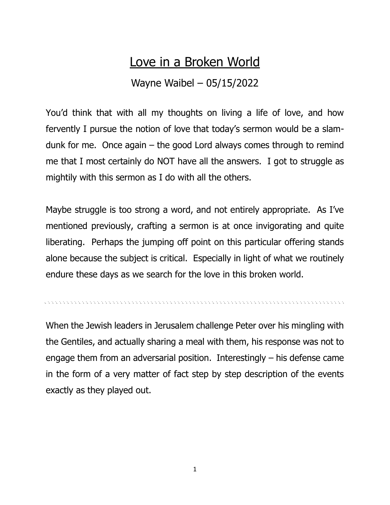## Love in a Broken World

## Wayne Waibel – 05/15/2022

You'd think that with all my thoughts on living a life of love, and how fervently I pursue the notion of love that today's sermon would be a slamdunk for me. Once again  $-$  the good Lord always comes through to remind me that I most certainly do NOT have all the answers. I got to struggle as mightily with this sermon as I do with all the others.

Maybe struggle is too strong a word, and not entirely appropriate. As I've mentioned previously, crafting a sermon is at once invigorating and quite liberating. Perhaps the jumping off point on this particular offering stands alone because the subject is critical. Especially in light of what we routinely endure these days as we search for the love in this broken world.

When the Jewish leaders in Jerusalem challenge Peter over his mingling with the Gentiles, and actually sharing a meal with them, his response was not to engage them from an adversarial position. Interestingly – his defense came in the form of a very matter of fact step by step description of the events exactly as they played out.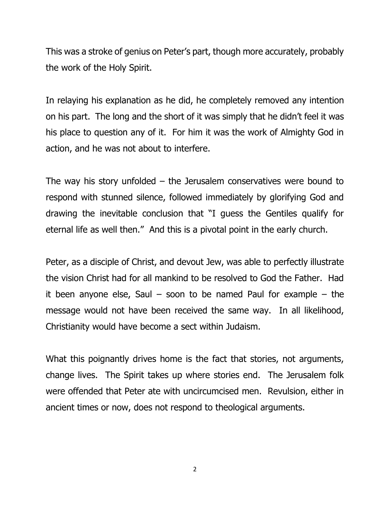This was a stroke of genius on Peter's part, though more accurately, probably the work of the Holy Spirit.

In relaying his explanation as he did, he completely removed any intention on his part. The long and the short of it was simply that he didn't feel it was his place to question any of it. For him it was the work of Almighty God in action, and he was not about to interfere.

The way his story unfolded  $-$  the Jerusalem conservatives were bound to respond with stunned silence, followed immediately by glorifying God and drawing the inevitable conclusion that "I guess the Gentiles qualify for eternal life as well then." And this is a pivotal point in the early church.

Peter, as a disciple of Christ, and devout Jew, was able to perfectly illustrate the vision Christ had for all mankind to be resolved to God the Father. Had it been anyone else, Saul – soon to be named Paul for example – the message would not have been received the same way. In all likelihood, Christianity would have become a sect within Judaism.

What this poignantly drives home is the fact that stories, not arguments, change lives. The Spirit takes up where stories end. The Jerusalem folk were offended that Peter ate with uncircumcised men. Revulsion, either in ancient times or now, does not respond to theological arguments.

2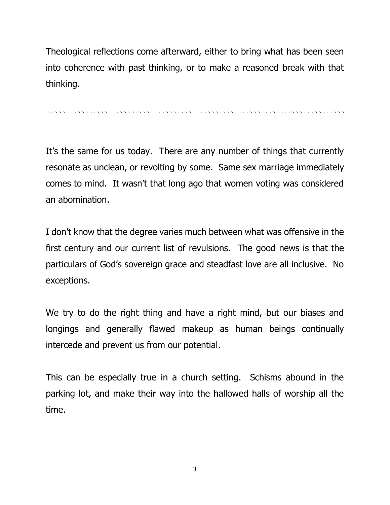Theological reflections come afterward, either to bring what has been seen into coherence with past thinking, or to make a reasoned break with that thinking.

. A CONTRACTOR CONTRACTOR CONTRACTOR CONTRACTOR CONTRACTOR CONTRACTOR CONTRACTOR CONTRACTOR

It's the same for us today. There are any number of things that currently resonate as unclean, or revolting by some. Same sex marriage immediately comes to mind. It wasn't that long ago that women voting was considered an abomination.

I don't know that the degree varies much between what was offensive in the first century and our current list of revulsions. The good news is that the particulars of God's sovereign grace and steadfast love are all inclusive. No exceptions.

We try to do the right thing and have a right mind, but our biases and longings and generally flawed makeup as human beings continually intercede and prevent us from our potential.

This can be especially true in a church setting. Schisms abound in the parking lot, and make their way into the hallowed halls of worship all the time.

3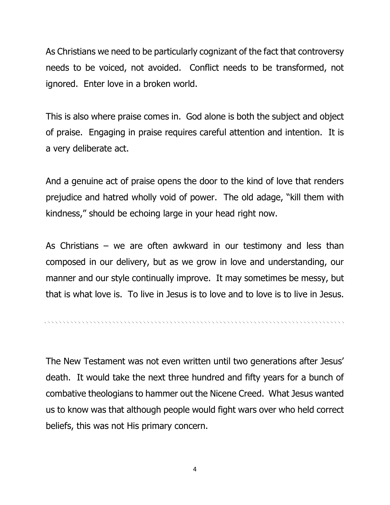As Christians we need to be particularly cognizant of the fact that controversy needs to be voiced, not avoided. Conflict needs to be transformed, not ignored. Enter love in a broken world.

This is also where praise comes in. God alone is both the subject and object of praise. Engaging in praise requires careful attention and intention. It is a very deliberate act.

And a genuine act of praise opens the door to the kind of love that renders prejudice and hatred wholly void of power. The old adage, "kill them with kindness," should be echoing large in your head right now.

As Christians – we are often awkward in our testimony and less than composed in our delivery, but as we grow in love and understanding, our manner and our style continually improve. It may sometimes be messy, but that is what love is. To live in Jesus is to love and to love is to live in Jesus.

The New Testament was not even written until two generations after Jesus' death. It would take the next three hundred and fifty years for a bunch of combative theologians to hammer out the Nicene Creed. What Jesus wanted us to know was that although people would fight wars over who held correct beliefs, this was not His primary concern.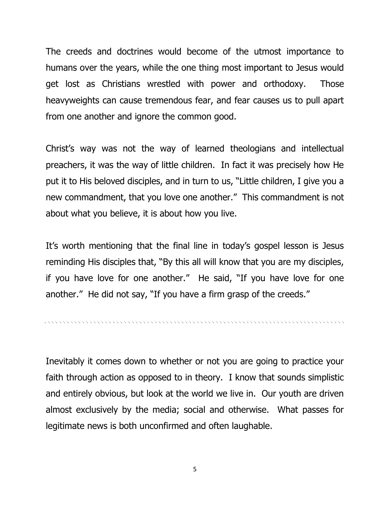The creeds and doctrines would become of the utmost importance to humans over the years, while the one thing most important to Jesus would get lost as Christians wrestled with power and orthodoxy. Those heavyweights can cause tremendous fear, and fear causes us to pull apart from one another and ignore the common good.

Christ's way was not the way of learned theologians and intellectual preachers, it was the way of little children. In fact it was precisely how He put it to His beloved disciples, and in turn to us, "Little children, I give you a new commandment, that you love one another." This commandment is not about what you believe, it is about how you live.

It's worth mentioning that the final line in today's gospel lesson is Jesus reminding His disciples that, "By this all will know that you are my disciples, if you have love for one another." He said, "If you have love for one another." He did not say, "If you have a firm grasp of the creeds."

Inevitably it comes down to whether or not you are going to practice your faith through action as opposed to in theory. I know that sounds simplistic and entirely obvious, but look at the world we live in. Our youth are driven almost exclusively by the media; social and otherwise. What passes for legitimate news is both unconfirmed and often laughable.